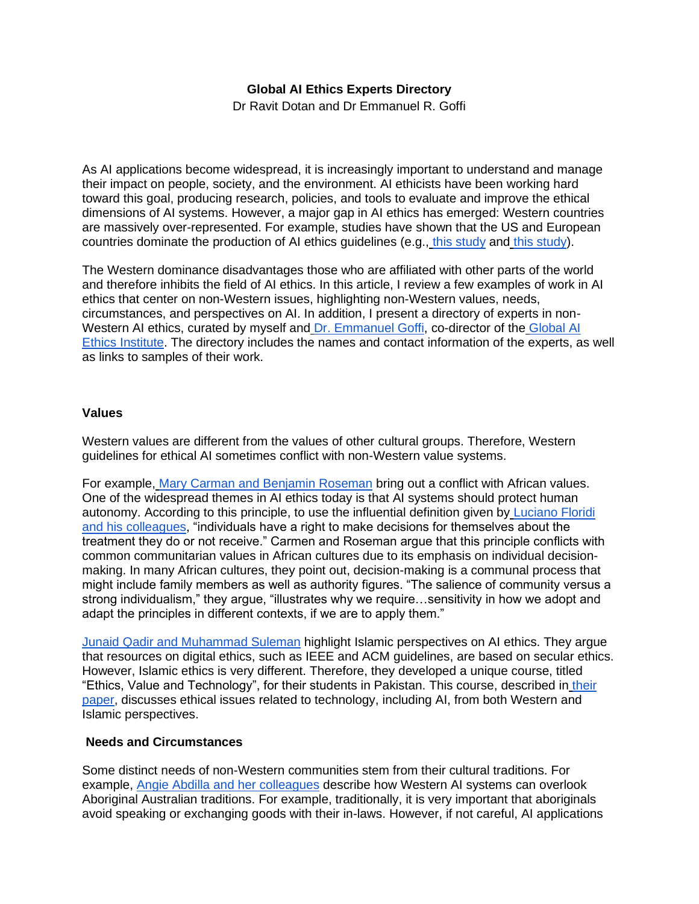# **Global AI Ethics Experts Directory**

Dr Ravit Dotan and Dr Emmanuel R. Goffi

As AI applications become widespread, it is increasingly important to understand and manage their impact on people, society, and the environment. AI ethicists have been working hard toward this goal, producing research, policies, and tools to evaluate and improve the ethical dimensions of AI systems. However, a major gap in AI ethics has emerged: Western countries are massively over-represented. For example, studies have shown that the US and European countries dominate the production of AI ethics guidelines (e.g., [this study](https://www.nature.com/articles/s42256-019-0088-2) and [this study\)](https://papers.ssrn.com/sol3/papers.cfm?abstract_id=3518482).

The Western dominance disadvantages those who are affiliated with other parts of the world and therefore inhibits the field of AI ethics. In this article, I review a few examples of work in AI ethics that center on non-Western issues, highlighting non-Western values, needs, circumstances, and perspectives on AI. In addition, I present a directory of experts in non-Western AI ethics, curated by myself and [Dr. Emmanuel Goffi,](https://www.linkedin.com/in/emmanuelgoffi/) co-director of the [Global AI](https://globalethics.ai/)  [Ethics Institute.](https://globalethics.ai/) The directory includes the names and contact information of the experts, as well as links to samples of their work.

### **Values**

Western values are different from the values of other cultural groups. Therefore, Western guidelines for ethical AI sometimes conflict with non-Western value systems.

For example, [Mary Carman and Benjamin Roseman](https://link.springer.com/article/10.1007/s10676-020-09534-2) bring out a conflict with African values. One of the widespread themes in AI ethics today is that AI systems should protect human autonomy. According to this principle, to use the influential definition given by [Luciano Floridi](https://pubmed.ncbi.nlm.nih.gov/30930541/)  [and his colleagues,](https://pubmed.ncbi.nlm.nih.gov/30930541/) "individuals have a right to make decisions for themselves about the treatment they do or not receive." Carmen and Roseman argue that this principle conflicts with common communitarian values in African cultures due to its emphasis on individual decisionmaking. In many African cultures, they point out, decision-making is a communal process that might include family members as well as authority figures. "The salience of community versus a strong individualism," they argue, "illustrates why we require…sensitivity in how we adopt and adapt the principles in different contexts, if we are to apply them."

[Junaid Qadir and Muhammad Suleman](https://ieeexplore.ieee.org/document/8539286) highlight Islamic perspectives on AI ethics. They argue that resources on digital ethics, such as IEEE and ACM guidelines, are based on secular ethics. However, Islamic ethics is very different. Therefore, they developed a unique course, titled "Ethics, Value and Technology", for their students in Pakistan. This course, described in [their](https://ieeexplore.ieee.org/document/8539286)  [paper,](https://ieeexplore.ieee.org/document/8539286) discusses ethical issues related to technology, including AI, from both Western and Islamic perspectives.

#### **Needs and Circumstances**

Some distinct needs of non-Western communities stem from their cultural traditions. For example, [Angie Abdilla and her colleagues](https://static1.squarespace.com/static/5778a8e3e58c62bbf1a639ae/t/61808f1d034eda41942223a9/1635815199890/*Final+Unesco+Paper_Designed.pdf) describe how Western AI systems can overlook Aboriginal Australian traditions. For example, traditionally, it is very important that aboriginals avoid speaking or exchanging goods with their in-laws. However, if not careful, AI applications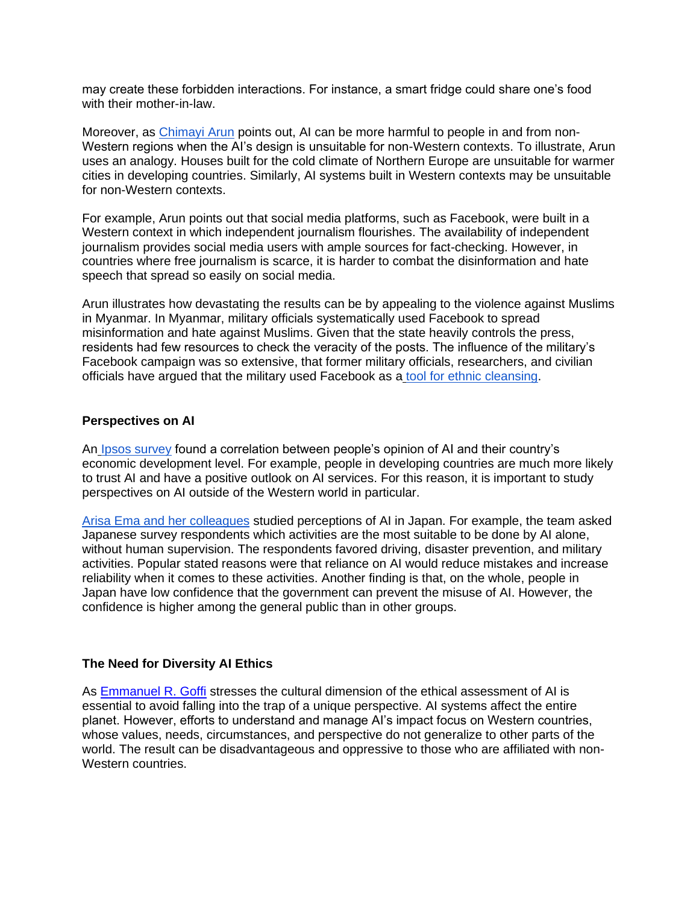may create these forbidden interactions. For instance, a smart fridge could share one's food with their mother-in-law.

Moreover, as [Chimayi Arun](https://papers.ssrn.com/sol3/papers.cfm?abstract_id=3403010) points out, AI can be more harmful to people in and from non-Western regions when the AI's design is unsuitable for non-Western contexts. To illustrate, Arun uses an analogy. Houses built for the cold climate of Northern Europe are unsuitable for warmer cities in developing countries. Similarly, AI systems built in Western contexts may be unsuitable for non-Western contexts.

For example, Arun points out that social media platforms, such as Facebook, were built in a Western context in which independent journalism flourishes. The availability of independent journalism provides social media users with ample sources for fact-checking. However, in countries where free journalism is scarce, it is harder to combat the disinformation and hate speech that spread so easily on social media.

Arun illustrates how devastating the results can be by appealing to the violence against Muslims in Myanmar. In Myanmar, military officials systematically used Facebook to spread misinformation and hate against Muslims. Given that the state heavily controls the press, residents had few resources to check the veracity of the posts. The influence of the military's Facebook campaign was so extensive, that former military officials, researchers, and civilian officials have argued that the military used Facebook as a [tool for ethnic cleansing.](https://www.nytimes.com/2018/10/15/technology/myanmar-facebook-genocide.html)

#### **Perspectives on AI**

An [Ipsos survey](https://www.ipsos.com/en/global-opinions-about-ai-january-2022) found a correlation between people's opinion of AI and their country's economic development level. For example, people in developing countries are much more likely to trust AI and have a positive outlook on AI services. For this reason, it is important to study perspectives on AI outside of the Western world in particular.

[Arisa Ema and her colleagues](https://ieeexplore.ieee.org/document/7790979) studied perceptions of AI in Japan. For example, the team asked Japanese survey respondents which activities are the most suitable to be done by AI alone, without human supervision. The respondents favored driving, disaster prevention, and military activities. Popular stated reasons were that reliance on AI would reduce mistakes and increase reliability when it comes to these activities. Another finding is that, on the whole, people in Japan have low confidence that the government can prevent the misuse of AI. However, the confidence is higher among the general public than in other groups.

## **The Need for Diversity AI Ethics**

As [Emmanuel R. Goffi](https://www.aiethicsjournal.org/10-47289-aiej20210716-1) stresses the cultural dimension of the ethical assessment of AI is essential to avoid falling into the trap of a unique perspective. AI systems affect the entire planet. However, efforts to understand and manage AI's impact focus on Western countries, whose values, needs, circumstances, and perspective do not generalize to other parts of the world. The result can be disadvantageous and oppressive to those who are affiliated with non-Western countries.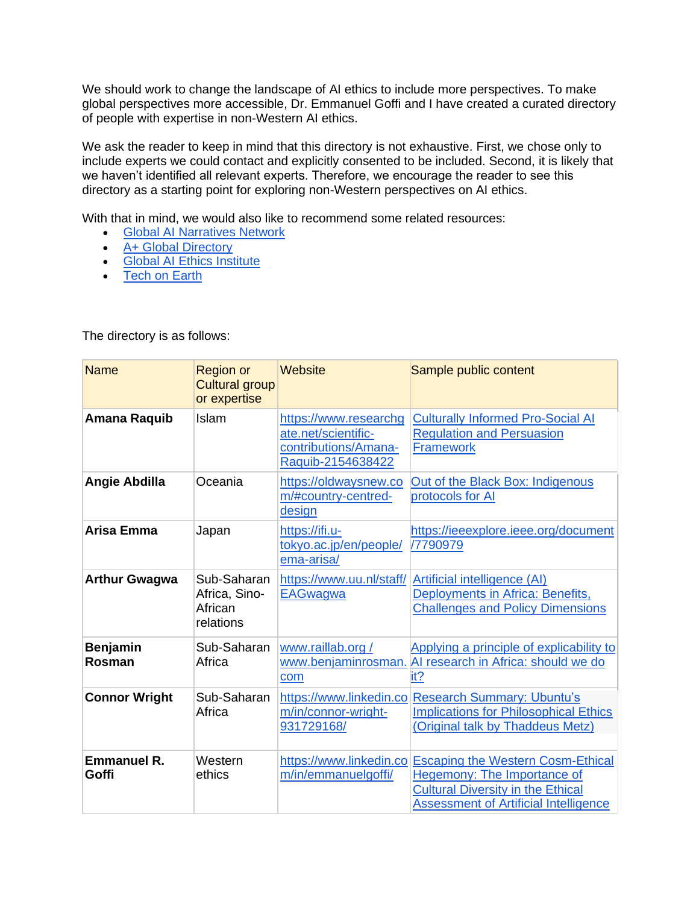We should work to change the landscape of AI ethics to include more perspectives. To make global perspectives more accessible, Dr. Emmanuel Goffi and I have created a curated directory of people with expertise in non-Western AI ethics.

We ask the reader to keep in mind that this directory is not exhaustive. First, we chose only to include experts we could contact and explicitly consented to be included. Second, it is likely that we haven't identified all relevant experts. Therefore, we encourage the reader to see this directory as a starting point for exploring non-Western perspectives on AI ethics.

With that in mind, we would also like to recommend some related resources:

- Global AI Narratives Network
- A+ Global Directory
- Global AI Ethics Institute
- Tech on Earth

| <b>Name</b>                 | <b>Region or</b><br><b>Cultural group</b><br>or expertise | Website                                                                                   | Sample public content                                                                                                                                                      |
|-----------------------------|-----------------------------------------------------------|-------------------------------------------------------------------------------------------|----------------------------------------------------------------------------------------------------------------------------------------------------------------------------|
| Amana Raquib                | Islam                                                     | https://www.researchg<br>ate.net/scientific-<br>contributions/Amana-<br>Raquib-2154638422 | <b>Culturally Informed Pro-Social AI</b><br><b>Regulation and Persuasion</b><br><b>Framework</b>                                                                           |
| Angie Abdilla               | Oceania                                                   | https://oldwaysnew.co<br>m/#country-centred-<br>design                                    | Out of the Black Box: Indigenous<br>protocols for AI                                                                                                                       |
| Arisa Emma                  | Japan                                                     | https://ifi.u-<br>tokyo.ac.jp/en/people/<br>ema-arisa/                                    | https://ieeexplore.ieee.org/document<br>/7790979                                                                                                                           |
| <b>Arthur Gwagwa</b>        | Sub-Saharan<br>Africa, Sino-<br>African<br>relations      | https://www.uu.nl/staff/<br><b>EAGwagwa</b>                                               | Artificial intelligence (AI)<br>Deployments in Africa: Benefits,<br><b>Challenges and Policy Dimensions</b>                                                                |
| <b>Benjamin</b><br>Rosman   | Sub-Saharan<br>Africa                                     | www.raillab.org /<br>www.benjaminrosman.<br>com                                           | Applying a principle of explicability to<br>Al research in Africa: should we do<br>it?                                                                                     |
| <b>Connor Wright</b>        | Sub-Saharan<br>Africa                                     | m/in/connor-wright-<br>931729168/                                                         | https://www.linkedin.co Research Summary: Ubuntu's<br><b>Implications for Philosophical Ethics</b><br>(Original talk by Thaddeus Metz)                                     |
| <b>Emmanuel R.</b><br>Goffi | Western<br>ethics                                         | https://www.linkedin.co<br>m/in/emmanuelgoffi/                                            | <b>Escaping the Western Cosm-Ethical</b><br><b>Hegemony: The Importance of</b><br><b>Cultural Diversity in the Ethical</b><br><b>Assessment of Artificial Intelligence</b> |

The directory is as follows: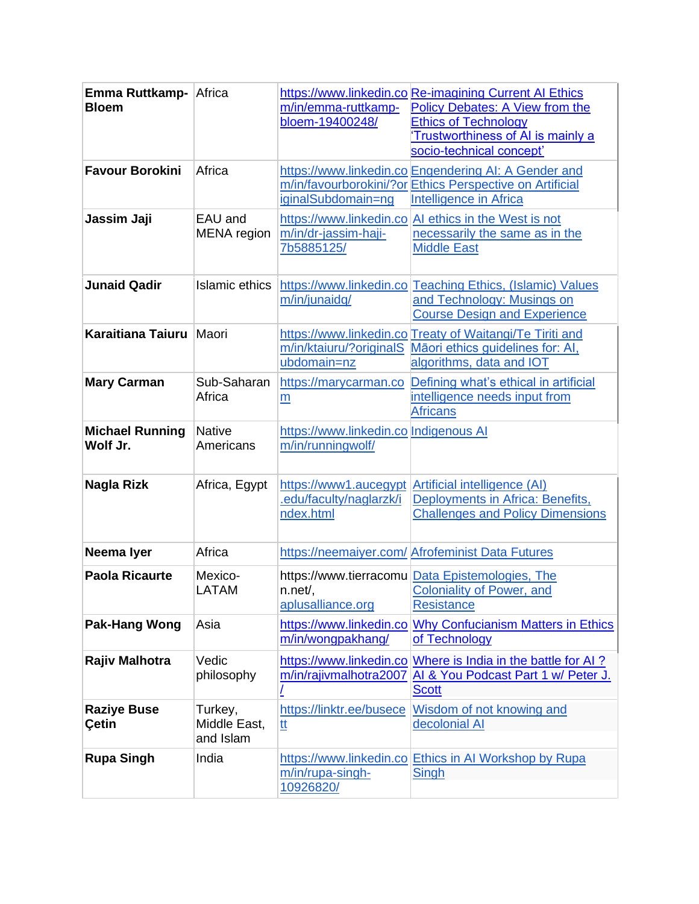| Emma Ruttkamp- Africa<br><b>Bloem</b> |                                      | m/in/emma-ruttkamp-<br>bloem-19400248/                        | https://www.linkedin.co Re-imagining Current AI Ethics<br><b>Policy Debates: A View from the</b><br><b>Ethics of Technology</b><br>Trustworthiness of AI is mainly a<br>socio-technical concept' |
|---------------------------------------|--------------------------------------|---------------------------------------------------------------|--------------------------------------------------------------------------------------------------------------------------------------------------------------------------------------------------|
| <b>Favour Borokini</b>                | Africa                               | iginalSubdomain=ng                                            | https://www.linkedin.co Engendering AI: A Gender and<br>m/in/favourborokini/?or Ethics Perspective on Artificial<br>Intelligence in Africa                                                       |
| Jassim Jaji                           | EAU and<br><b>MENA</b> region        | https://www.linkedin.co<br>m/in/dr-jassim-haji-<br>7b5885125/ | Al ethics in the West is not<br>necessarily the same as in the<br><b>Middle East</b>                                                                                                             |
| <b>Junaid Qadir</b>                   | Islamic ethics                       | m/in/junaidq/                                                 | https://www.linkedin.co Teaching Ethics, (Islamic) Values<br>and Technology: Musings on<br><b>Course Design and Experience</b>                                                                   |
| Karaitiana Taiuru Maori               |                                      | ubdomain=nz                                                   | https://www.linkedin.co Treaty of Waitangi/Te Tiriti and<br>m/in/ktaiuru/?originalS Māori ethics guidelines for: AI,<br>algorithms, data and IOT                                                 |
| <b>Mary Carman</b>                    | Sub-Saharan<br>Africa                | https://marycarman.co<br>$\underline{m}$                      | Defining what's ethical in artificial<br>intelligence needs input from<br><b>Africans</b>                                                                                                        |
| <b>Michael Running</b><br>Wolf Jr.    | <b>Native</b><br>Americans           | https://www.linkedin.co Indigenous AI<br>m/in/runningwolf/    |                                                                                                                                                                                                  |
| Nagla Rizk                            | Africa, Egypt                        | .edu/faculty/naglarzk/i<br>ndex.html                          | https://www1.aucegypt Artificial intelligence (AI)<br>Deployments in Africa: Benefits,<br><b>Challenges and Policy Dimensions</b>                                                                |
| Neema lyer                            | Africa                               |                                                               | https://neemaiyer.com/ Afrofeminist Data Futures                                                                                                                                                 |
| <b>Paola Ricaurte</b>                 | Mexico-<br>LATAM                     | $n.net/$ ,<br>aplusalliance.org                               | https://www.tierracomu Data Epistemologies, The<br><b>Coloniality of Power, and</b><br><b>Resistance</b>                                                                                         |
| <b>Pak-Hang Wong</b>                  | Asia                                 | https://www.linkedin.co<br>m/in/wongpakhang/                  | <b>Why Confucianism Matters in Ethics</b><br>of Technology                                                                                                                                       |
| Rajiv Malhotra                        | Vedic<br>philosophy                  | https://www.linkedin.co<br>m/in/rajivmalhotra2007             | Where is India in the battle for AI?<br>Al & You Podcast Part 1 w/ Peter J.<br><b>Scott</b>                                                                                                      |
| <b>Raziye Buse</b><br>Çetin           | Turkey,<br>Middle East,<br>and Islam | https://linktr.ee/busece<br><u>tt</u>                         | Wisdom of not knowing and<br>decolonial AI                                                                                                                                                       |
| <b>Rupa Singh</b>                     | India                                | https://www.linkedin.co<br>m/in/rupa-singh-<br>10926820/      | Ethics in AI Workshop by Rupa<br><b>Singh</b>                                                                                                                                                    |